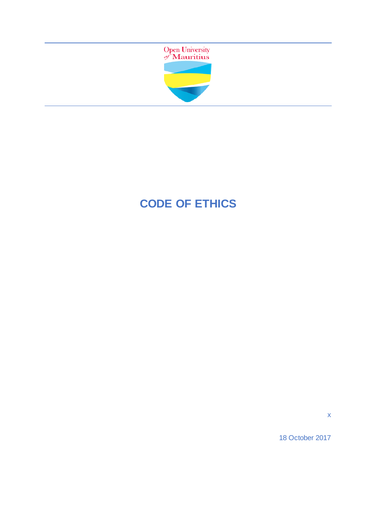

# **CODE OF ETHICS**

x

18 October 2017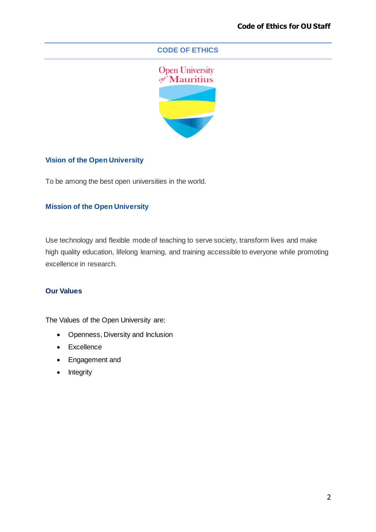### **CODE OF ETHICS**



# **Vision of the Open University**

To be among the best open universities in the world.

# **Mission of the Open University**

Use technology and flexible mode of teaching to serve society, transform lives and make high quality education, lifelong learning, and training accessible to everyone while promoting excellence in research.

#### **Our Values**

The Values of the Open University are:

- Openness, Diversity and Inclusion
- Excellence
- Engagement and
- Integrity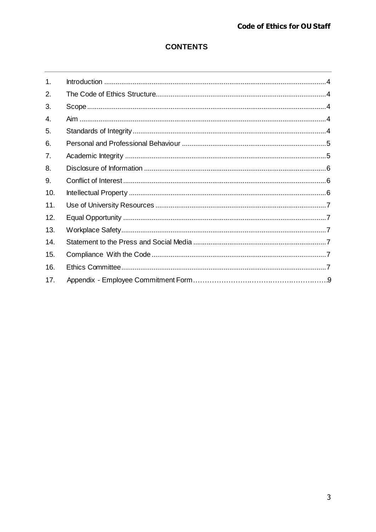# **CONTENTS**

| 1.  |  |
|-----|--|
| 2.  |  |
| 3.  |  |
| 4.  |  |
| 5.  |  |
| 6.  |  |
| 7.  |  |
| 8.  |  |
| 9.  |  |
| 10. |  |
| 11. |  |
| 12. |  |
| 13. |  |
| 14. |  |
| 15. |  |
| 16. |  |
| 17. |  |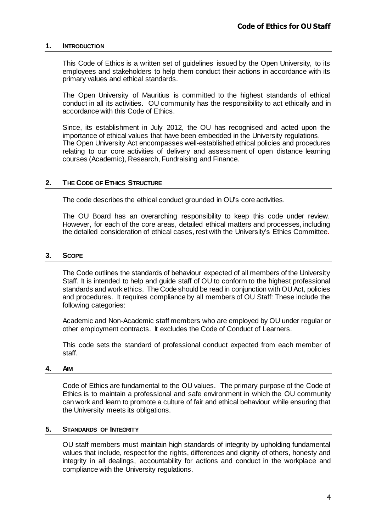#### <span id="page-3-0"></span>**1. INTRODUCTION**

This Code of Ethics is a written set of guidelines issued by the Open University, to its employees and stakeholders to help them conduct their actions in accordance with its primary values and ethical standards.

The Open University of Mauritius is committed to the highest standards of ethical conduct in all its activities. OU community has the responsibility to act ethically and in accordance with this Code of Ethics.

Since, its establishment in July 2012, the OU has recognised and acted upon the importance of ethical values that have been embedded in the University regulations. The Open University Act encompasses well-established ethical policies and procedures relating to our core activities of delivery and assessment of open distance learning courses (Academic), Research, Fundraising and Finance.

#### <span id="page-3-1"></span>**2. THE CODE OF ETHICS STRUCTURE**

The code describes the ethical conduct grounded in OU's core activities.

The OU Board has an overarching responsibility to keep this code under review. However, for each of the core areas, detailed ethical matters and processes, including the detailed consideration of ethical cases, rest with the University's Ethics Committee**.**

#### <span id="page-3-2"></span>**3. SCOPE**

The Code outlines the standards of behaviour expected of all members of the University Staff. It is intended to help and guide staff of OU to conform to the highest professional standards and work ethics. The Code should be read in conjunction with OU Act, policies and procedures. It requires compliance by all members of OU Staff: These include the following categories:

Academic and Non-Academic staff members who are employed by OU under regular or other employment contracts. It excludes the Code of Conduct of Learners.

This code sets the standard of professional conduct expected from each member of staff.

#### <span id="page-3-3"></span>**4. AIM**

Code of Ethics are fundamental to the OU values. The primary purpose of the Code of Ethics is to maintain a professional and safe environment in which the OU community can work and learn to promote a culture of fair and ethical behaviour while ensuring that the University meets its obligations.

#### <span id="page-3-4"></span>**5. STANDARDS OF INTEGRITY**

OU staff members must maintain high standards of integrity by upholding fundamental values that include, respect for the rights, differences and dignity of others, honesty and integrity in all dealings, accountability for actions and conduct in the workplace and compliance with the University regulations.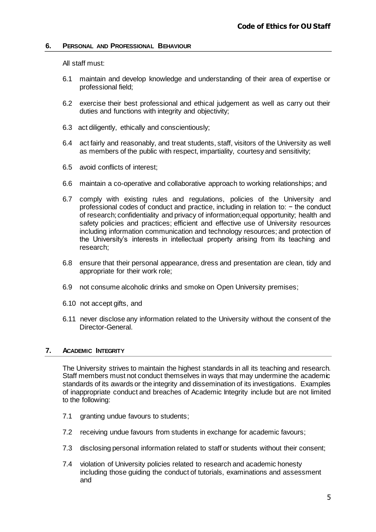#### <span id="page-4-0"></span>**6. PERSONAL AND PROFESSIONAL BEHAVIOUR**

All staff must:

- 6.1 maintain and develop knowledge and understanding of their area of expertise or professional field;
- 6.2 exercise their best professional and ethical judgement as well as carry out their duties and functions with integrity and objectivity;
- 6.3 act diligently, ethically and conscientiously;
- 6.4 act fairly and reasonably, and treat students, staff, visitors of the University as well as members of the public with respect, impartiality, courtesy and sensitivity;
- 6.5 avoid conflicts of interest;
- 6.6 maintain a co-operative and collaborative approach to working relationships; and
- 6.7 comply with existing rules and regulations, policies of the University and professional codes of conduct and practice, including in relation to: − the conduct of research; confidentiality and privacy of information;equal opportunity; health and safety policies and practices; efficient and effective use of University resources including information communication and technology resources; and protection of the University's interests in intellectual property arising from its teaching and research;
- 6.8 ensure that their personal appearance, dress and presentation are clean, tidy and appropriate for their work role;
- 6.9 not consume alcoholic drinks and smoke on Open University premises;
- 6.10 not accept gifts, and
- 6.11 never disclose any information related to the University without the consent of the Director-General.

#### <span id="page-4-1"></span>**7. ACADEMIC INTEGRITY**

The University strives to maintain the highest standards in all its teaching and research. Staff members must not conduct themselves in ways that may undermine the academic standards of its awards or the integrity and dissemination of its investigations. Examples of inappropriate conduct and breaches of Academic Integrity include but are not limited to the following:

- 7.1 granting undue favours to students;
- 7.2 receiving undue favours from students in exchange for academic favours;
- 7.3 disclosing personal information related to staff or students without their consent;
- 7.4 violation of University policies related to research and academic honesty including those guiding the conduct of tutorials, examinations and assessment and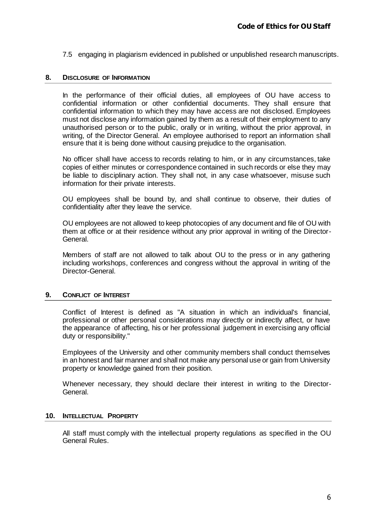7.5 engaging in plagiarism evidenced in published or unpublished research manuscripts.

#### <span id="page-5-0"></span>**8. DISCLOSURE OF INFORMATION**

In the performance of their official duties, all employees of OU have access to confidential information or other confidential documents. They shall ensure that confidential information to which they may have access are not disclosed. Employees must not disclose any information gained by them as a result of their employment to any unauthorised person or to the public, orally or in writing, without the prior approval, in writing, of the Director General. An employee authorised to report an information shall ensure that it is being done without causing prejudice to the organisation.

No officer shall have access to records relating to him, or in any circumstances, take copies of either minutes or correspondence contained in such records or else they may be liable to disciplinary action. They shall not, in any case whatsoever, misuse such information for their private interests.

OU employees shall be bound by, and shall continue to observe, their duties of confidentiality after they leave the service.

OU employees are not allowed to keep photocopies of any document and file of OU with them at office or at their residence without any prior approval in writing of the Director-General.

Members of staff are not allowed to talk about OU to the press or in any gathering including workshops, conferences and congress without the approval in writing of the Director-General.

#### <span id="page-5-1"></span>**9. CONFLICT OF INTEREST**

Conflict of Interest is defined as "A situation in which an individual's financial, professional or other personal considerations may directly or indirectly affect, or have the appearance of affecting, his or her professional judgement in exercising any official duty or responsibility."

Employees of the University and other community members shall conduct themselves in an honest and fair manner and shall not make any personal use or gain from University property or knowledge gained from their position.

Whenever necessary, they should declare their interest in writing to the Director-General.

#### <span id="page-5-2"></span>**10. INTELLECTUAL PROPERTY**

All staff must comply with the intellectual property regulations as specified in the OU General Rules.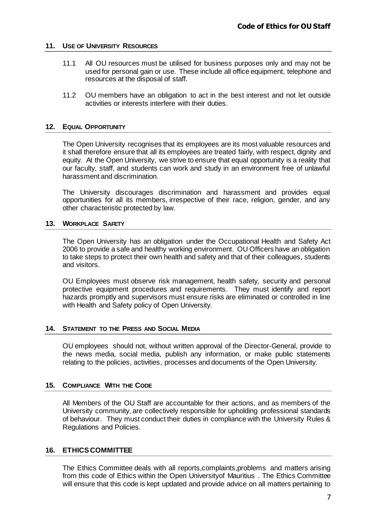#### <span id="page-6-0"></span>**11. USE OF UNIVERSITY RESOURCES**

- 11.1 All OU resources must be utilised for business purposes only and may not be used for personal gain or use. These include all office equipment, telephone and resources at the disposal of staff.
- 11.2 OU members have an obligation to act in the best interest and not let outside activities or interests interfere with their duties.

#### <span id="page-6-1"></span>**12. EQUAL OPPORTUNITY**

The Open University recognises that its employees are its most valuable resources and it shall therefore ensure that all its employees are treated fairly, with respect, dignity and equity. At the Open University, we strive to ensure that equal opportunity is a reality that our faculty, staff, and students can work and study in an environment free of unlawful harassment and discrimination.

The University discourages discrimination and harassment and provides equal opportunities for all its members, irrespective of their race, religion, gender, and any other characteristic protected by law.

#### <span id="page-6-2"></span>**13. WORKPLACE SAFETY**

The Open University has an obligation under the Occupational Health and Safety Act 2006 to provide a safe and healthy working environment. OU Officers have an obligation to take steps to protect their own health and safety and that of their colleagues, students and visitors.

OU Employees must observe risk management, health safety, security and personal protective equipment procedures and requirements. They must identify and report hazards promptly and supervisors must ensure risks are eliminated or controlled in line with Health and Safety policy of Open University.

#### <span id="page-6-3"></span>**14. STATEMENT TO THE PRESS AND SOCIAL MEDIA**

OU employees should not, without written approval of the Director-General, provide to the news media, social media, publish any information, or make public statements relating to the policies, activities, processes and documents of the Open University.

#### <span id="page-6-4"></span>**15. COMPLIANCE WITH THE CODE**

All Members of the OU Staff are accountable for their actions, and as members of the University community, are collectively responsible for upholding professional standards of behaviour. They must conduct their duties in compliance with the University Rules & Regulations and Policies.

#### <span id="page-6-5"></span>**16. ETHICSCOMMITTEE**

The Ethics Committee deals with all reports,complaints,problems and matters arising from this code of Ethics within the Open Universityof Mauritius . The Ethics Committee will ensure that this code is kept updated and provide advice on all matters pertaining to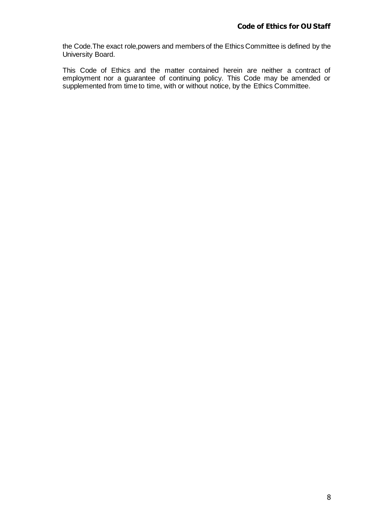the Code.The exact role,powers and members of the Ethics Committee is defined by the University Board.

This Code of Ethics and the matter contained herein are neither a contract of employment nor a guarantee of continuing policy. This Code may be amended or supplemented from time to time, with or without notice, by the Ethics Committee.